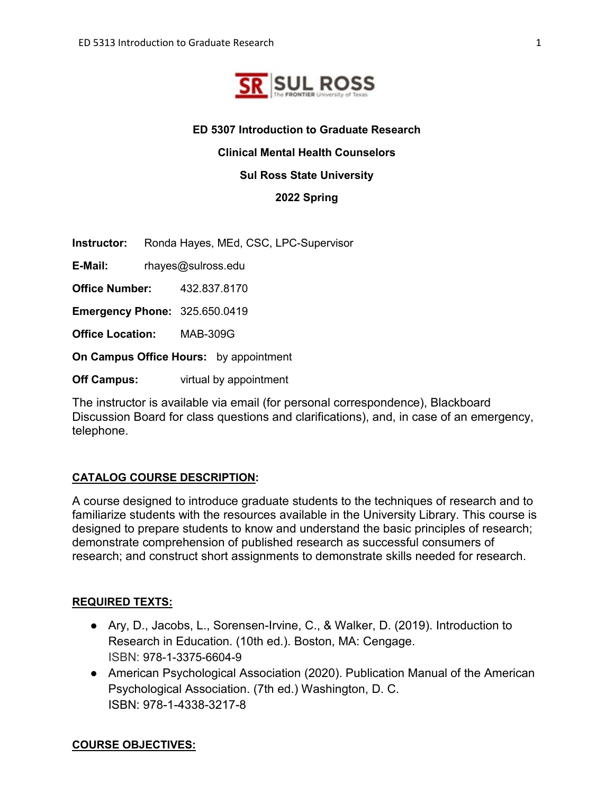

# **ED 5307 Introduction to Graduate Research**

**Clinical Mental Health Counselors** 

**Sul Ross State University**

**2022 Spring**

**Instructor:** Ronda Hayes, MEd, CSC, LPC-Supervisor

**E-Mail:** rhayes@sulross.edu

**Office Number:** 432.837.8170

**Emergency Phone:** 325.650.0419

**Office Location:** MAB-309G

**On Campus Office Hours:** by appointment

**Off Campus:** virtual by appointment

The instructor is available via email (for personal correspondence), Blackboard Discussion Board for class questions and clarifications), and, in case of an emergency, telephone.

## **CATALOG COURSE DESCRIPTION:**

A course designed to introduce graduate students to the techniques of research and to familiarize students with the resources available in the University Library. This course is designed to prepare students to know and understand the basic principles of research; demonstrate comprehension of published research as successful consumers of research; and construct short assignments to demonstrate skills needed for research.

## **REQUIRED TEXTS:**

- Ary, D., Jacobs, L., Sorensen-Irvine, C., & Walker, D. (2019). Introduction to Research in Education. (10th ed.). Boston, MA: Cengage. ISBN: 978-1-3375-6604-9
- American Psychological Association (2020). Publication Manual of the American Psychological Association. (7th ed.) Washington, D. C. ISBN: 978-1-4338-3217-8

### **COURSE OBJECTIVES:**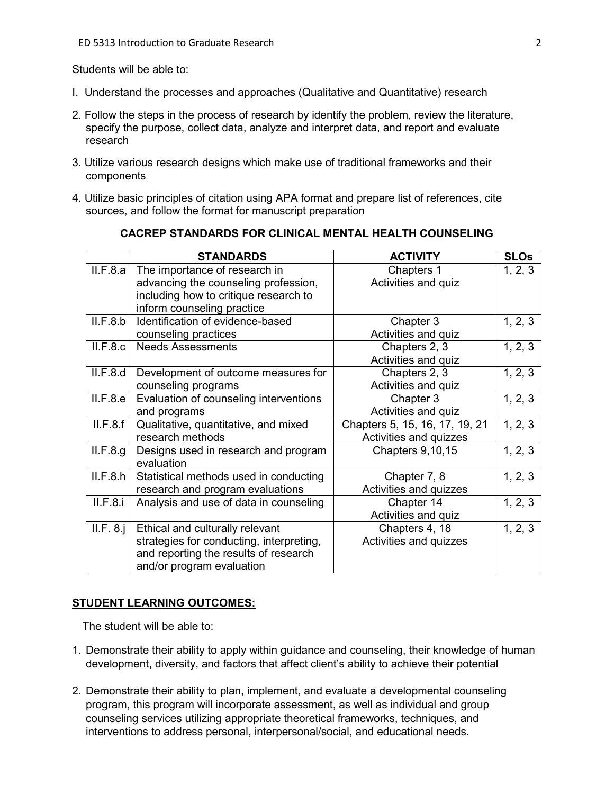Students will be able to:

- I. Understand the processes and approaches (Qualitative and Quantitative) research
- 2. Follow the steps in the process of research by identify the problem, review the literature, specify the purpose, collect data, analyze and interpret data, and report and evaluate research
- 3. Utilize various research designs which make use of traditional frameworks and their components
- 4. Utilize basic principles of citation using APA format and prepare list of references, cite sources, and follow the format for manuscript preparation

|           | <b>STANDARDS</b>                         | <b>ACTIVITY</b>                | <b>SLOs</b> |
|-----------|------------------------------------------|--------------------------------|-------------|
| II.F.8.a  | The importance of research in            | Chapters 1                     | 1, 2, 3     |
|           | advancing the counseling profession,     | Activities and quiz            |             |
|           | including how to critique research to    |                                |             |
|           | inform counseling practice               |                                |             |
| II.F.8.b  | Identification of evidence-based         | Chapter 3                      | 1, 2, 3     |
|           | counseling practices                     | Activities and quiz            |             |
| II.F.8.c  | <b>Needs Assessments</b>                 | Chapters 2, 3                  | 1, 2, 3     |
|           |                                          | Activities and quiz            |             |
| II.F.8.d  | Development of outcome measures for      | Chapters 2, 3                  | 1, 2, 3     |
|           | counseling programs                      | Activities and quiz            |             |
| II.F.8.e  | Evaluation of counseling interventions   | Chapter 3                      | 1, 2, 3     |
|           | and programs                             | Activities and quiz            |             |
| II.F.8.f  | Qualitative, quantitative, and mixed     | Chapters 5, 15, 16, 17, 19, 21 | 1, 2, 3     |
|           | research methods                         | Activities and quizzes         |             |
| II.F.8.g. | Designs used in research and program     | Chapters 9,10,15               | 1, 2, 3     |
|           | evaluation                               |                                |             |
| II.F.8.h  | Statistical methods used in conducting   | Chapter 7, 8                   | 1, 2, 3     |
|           | research and program evaluations         | Activities and quizzes         |             |
| II.F.8.i  | Analysis and use of data in counseling   | Chapter 14                     | 1, 2, 3     |
|           |                                          | Activities and quiz            |             |
| II.F. 8.1 | Ethical and culturally relevant          | Chapters 4, 18                 | 1, 2, 3     |
|           | strategies for conducting, interpreting, | Activities and quizzes         |             |
|           | and reporting the results of research    |                                |             |
|           | and/or program evaluation                |                                |             |

## **CACREP STANDARDS FOR CLINICAL MENTAL HEALTH COUNSELING**

#### **STUDENT LEARNING OUTCOMES:**

The student will be able to:

- 1. Demonstrate their ability to apply within guidance and counseling, their knowledge of human development, diversity, and factors that affect client's ability to achieve their potential
- 2. Demonstrate their ability to plan, implement, and evaluate a developmental counseling program, this program will incorporate assessment, as well as individual and group counseling services utilizing appropriate theoretical frameworks, techniques, and interventions to address personal, interpersonal/social, and educational needs.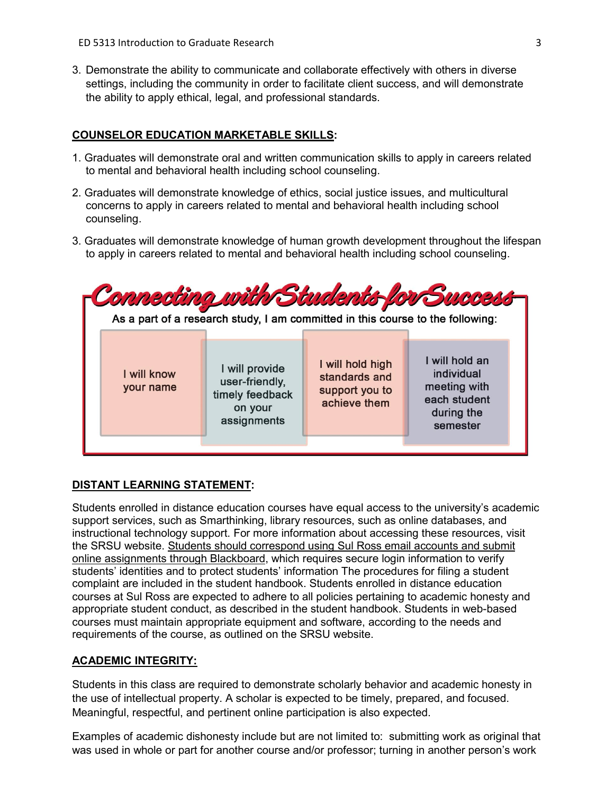3. Demonstrate the ability to communicate and collaborate effectively with others in diverse settings, including the community in order to facilitate client success, and will demonstrate the ability to apply ethical, legal, and professional standards.

## **COUNSELOR EDUCATION MARKETABLE SKILLS:**

- 1. Graduates will demonstrate oral and written communication skills to apply in careers related to mental and behavioral health including school counseling.
- 2. Graduates will demonstrate knowledge of ethics, social justice issues, and multicultural concerns to apply in careers related to mental and behavioral health including school counseling.
- 3. Graduates will demonstrate knowledge of human growth development throughout the lifespan to apply in careers related to mental and behavioral health including school counseling.

|                          |                                                                               | As a part of a research study, I am committed in this course to the following: | Connecting with Students for Success                                                   |
|--------------------------|-------------------------------------------------------------------------------|--------------------------------------------------------------------------------|----------------------------------------------------------------------------------------|
| I will know<br>your name | I will provide<br>user-friendly,<br>timely feedback<br>on your<br>assignments | I will hold high<br>standards and<br>support you to<br>achieve them            | I will hold an<br>individual<br>meeting with<br>each student<br>during the<br>semester |

## **DISTANT LEARNING STATEMENT:**

Students enrolled in distance education courses have equal access to the university's academic support services, such as Smarthinking, library resources, such as online databases, and instructional technology support. For more information about accessing these resources, visit the SRSU website. Students should correspond using Sul Ross email accounts and submit online assignments through Blackboard, which requires secure login information to verify students' identities and to protect students' information The procedures for filing a student complaint are included in the student handbook. Students enrolled in distance education courses at Sul Ross are expected to adhere to all policies pertaining to academic honesty and appropriate student conduct, as described in the student handbook. Students in web-based courses must maintain appropriate equipment and software, according to the needs and requirements of the course, as outlined on the SRSU website.

## **ACADEMIC INTEGRITY:**

Students in this class are required to demonstrate scholarly behavior and academic honesty in the use of intellectual property. A scholar is expected to be timely, prepared, and focused. Meaningful, respectful, and pertinent online participation is also expected.

Examples of academic dishonesty include but are not limited to: submitting work as original that was used in whole or part for another course and/or professor; turning in another person's work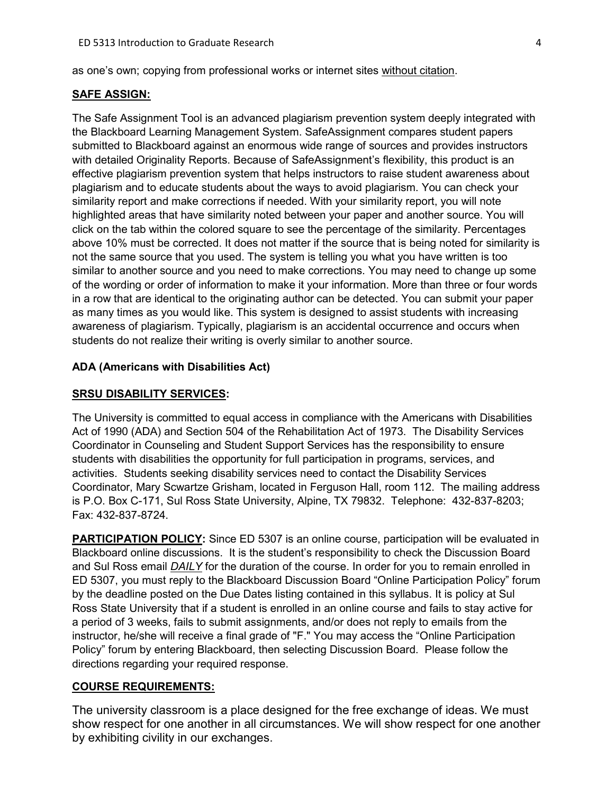as one's own; copying from professional works or internet sites without citation.

#### **SAFE ASSIGN:**

The Safe Assignment Tool is an advanced plagiarism prevention system deeply integrated with the Blackboard Learning Management System. SafeAssignment compares student papers submitted to Blackboard against an enormous wide range of sources and provides instructors with detailed Originality Reports. Because of SafeAssignment's flexibility, this product is an effective plagiarism prevention system that helps instructors to raise student awareness about plagiarism and to educate students about the ways to avoid plagiarism. You can check your similarity report and make corrections if needed. With your similarity report, you will note highlighted areas that have similarity noted between your paper and another source. You will click on the tab within the colored square to see the percentage of the similarity. Percentages above 10% must be corrected. It does not matter if the source that is being noted for similarity is not the same source that you used. The system is telling you what you have written is too similar to another source and you need to make corrections. You may need to change up some of the wording or order of information to make it your information. More than three or four words in a row that are identical to the originating author can be detected. You can submit your paper as many times as you would like. This system is designed to assist students with increasing awareness of plagiarism. Typically, plagiarism is an accidental occurrence and occurs when students do not realize their writing is overly similar to another source.

### **ADA (Americans with Disabilities Act)**

#### **SRSU DISABILITY SERVICES:**

The University is committed to equal access in compliance with the Americans with Disabilities Act of 1990 (ADA) and Section 504 of the Rehabilitation Act of 1973. The Disability Services Coordinator in Counseling and Student Support Services has the responsibility to ensure students with disabilities the opportunity for full participation in programs, services, and activities. Students seeking disability services need to contact the Disability Services Coordinator, Mary Scwartze Grisham, located in Ferguson Hall, room 112. The mailing address is P.O. Box C-171, Sul Ross State University, Alpine, TX 79832. Telephone: 432-837-8203; Fax: 432-837-8724.

**PARTICIPATION POLICY:** Since ED 5307 is an online course, participation will be evaluated in Blackboard online discussions. It is the student's responsibility to check the Discussion Board and Sul Ross email *DAILY* for the duration of the course. In order for you to remain enrolled in ED 5307, you must reply to the Blackboard Discussion Board "Online Participation Policy" forum by the deadline posted on the Due Dates listing contained in this syllabus. It is policy at Sul Ross State University that if a student is enrolled in an online course and fails to stay active for a period of 3 weeks, fails to submit assignments, and/or does not reply to emails from the instructor, he/she will receive a final grade of "F." You may access the "Online Participation Policy" forum by entering Blackboard, then selecting Discussion Board. Please follow the directions regarding your required response.

### **COURSE REQUIREMENTS:**

The university classroom is a place designed for the free exchange of ideas. We must show respect for one another in all circumstances. We will show respect for one another by exhibiting civility in our exchanges.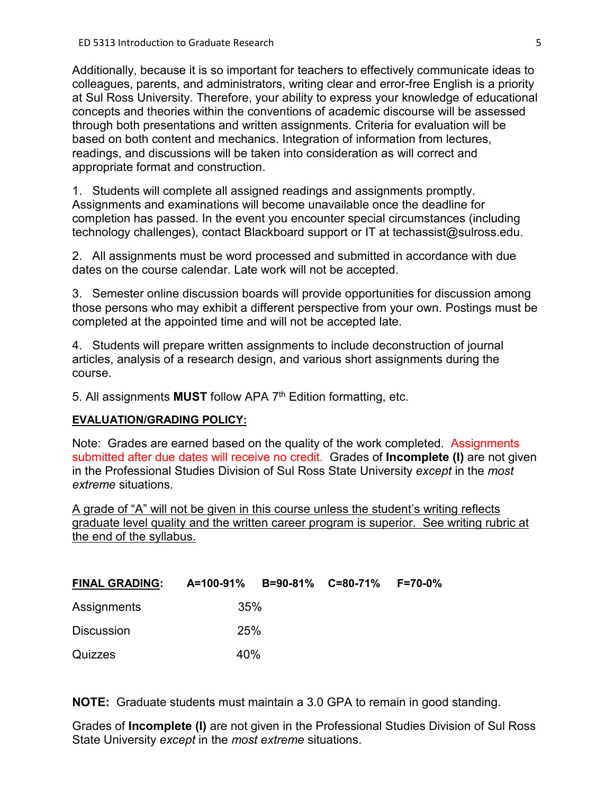Additionally, because it is so important for teachers to effectively communicate ideas to colleagues, parents, and administrators, writing clear and error-free English is a priority at Sul Ross University. Therefore, your ability to express your knowledge of educational concepts and theories within the conventions of academic discourse will be assessed through both presentations and written assignments. Criteria for evaluation will be based on both content and mechanics. Integration of information from lectures, readings, and discussions will be taken into consideration as will correct and appropriate format and construction.

1. Students will complete all assigned readings and assignments promptly. Assignments and examinations will become unavailable once the deadline for completion has passed. In the event you encounter special circumstances (including technology challenges), contact Blackboard support or IT at techassist@sulross.edu.

2. All assignments must be word processed and submitted in accordance with due dates on the course calendar. Late work will not be accepted.

3. Semester online discussion boards will provide opportunities for discussion among those persons who may exhibit a different perspective from your own. Postings must be completed at the appointed time and will not be accepted late.

4. Students will prepare written assignments to include deconstruction of journal articles, analysis of a research design, and various short assignments during the course.

5. All assignments **MUST** follow APA 7th Edition formatting, etc.

## **EVALUATION/GRADING POLICY:**

Note: Grades are earned based on the quality of the work completed. Assignments submitted after due dates will receive no credit. Grades of **Incomplete (I)** are not given in the Professional Studies Division of Sul Ross State University *except* in the *most extreme* situations.

A grade of "A" will not be given in this course unless the student's writing reflects graduate level quality and the written career program is superior. See writing rubric at the end of the syllabus.

| <b>FINAL GRADING:</b> | A=100-91% B=90-81% C=80-71% F=70-0% |  |  |
|-----------------------|-------------------------------------|--|--|
| Assignments           | 35%                                 |  |  |
| <b>Discussion</b>     | 25%                                 |  |  |
| Quizzes               | 40%                                 |  |  |

**NOTE:** Graduate students must maintain a 3.0 GPA to remain in good standing.

Grades of **Incomplete (I)** are not given in the Professional Studies Division of Sul Ross State University *except* in the *most extreme* situations.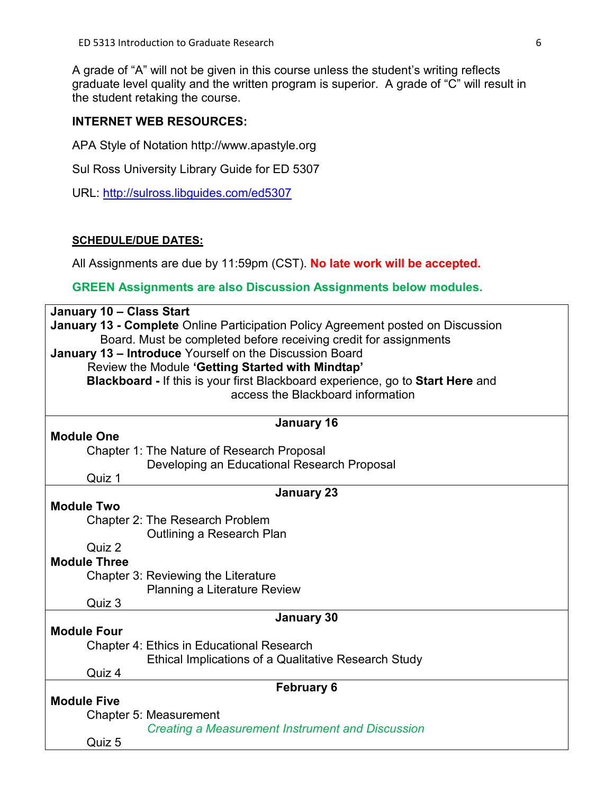A grade of "A" will not be given in this course unless the student's writing reflects graduate level quality and the written program is superior. A grade of "C" will result in the student retaking the course.

# **INTERNET WEB RESOURCES:**

APA Style of Notation http://www.apastyle.org

Sul Ross University Library Guide for ED 5307

URL:<http://sulross.libguides.com/ed5307>

## **SCHEDULE/DUE DATES:**

All Assignments are due by 11:59pm (CST). **No late work will be accepted.** 

## **GREEN Assignments are also Discussion Assignments below modules.**

| January 10 - Class Start                                                         |  |  |  |  |
|----------------------------------------------------------------------------------|--|--|--|--|
| January 13 - Complete Online Participation Policy Agreement posted on Discussion |  |  |  |  |
| Board. Must be completed before receiving credit for assignments                 |  |  |  |  |
| January 13 - Introduce Yourself on the Discussion Board                          |  |  |  |  |
| Review the Module 'Getting Started with Mindtap'                                 |  |  |  |  |
| Blackboard - If this is your first Blackboard experience, go to Start Here and   |  |  |  |  |
| access the Blackboard information                                                |  |  |  |  |
|                                                                                  |  |  |  |  |
| <b>January 16</b>                                                                |  |  |  |  |
| <b>Module One</b>                                                                |  |  |  |  |
| <b>Chapter 1: The Nature of Research Proposal</b>                                |  |  |  |  |
| Developing an Educational Research Proposal                                      |  |  |  |  |
| Quiz 1                                                                           |  |  |  |  |
| <b>January 23</b>                                                                |  |  |  |  |
| <b>Module Two</b>                                                                |  |  |  |  |
| <b>Chapter 2: The Research Problem</b>                                           |  |  |  |  |
| Outlining a Research Plan                                                        |  |  |  |  |
| Quiz 2                                                                           |  |  |  |  |
| <b>Module Three</b>                                                              |  |  |  |  |
| Chapter 3: Reviewing the Literature                                              |  |  |  |  |
| Planning a Literature Review                                                     |  |  |  |  |
| Quiz 3                                                                           |  |  |  |  |
| January 30                                                                       |  |  |  |  |
| <b>Module Four</b>                                                               |  |  |  |  |
| <b>Chapter 4: Ethics in Educational Research</b>                                 |  |  |  |  |
| <b>Ethical Implications of a Qualitative Research Study</b>                      |  |  |  |  |
| Quiz 4                                                                           |  |  |  |  |
| <b>February 6</b>                                                                |  |  |  |  |
| <b>Module Five</b>                                                               |  |  |  |  |
| Chapter 5: Measurement                                                           |  |  |  |  |
| <b>Creating a Measurement Instrument and Discussion</b>                          |  |  |  |  |
| Quiz 5                                                                           |  |  |  |  |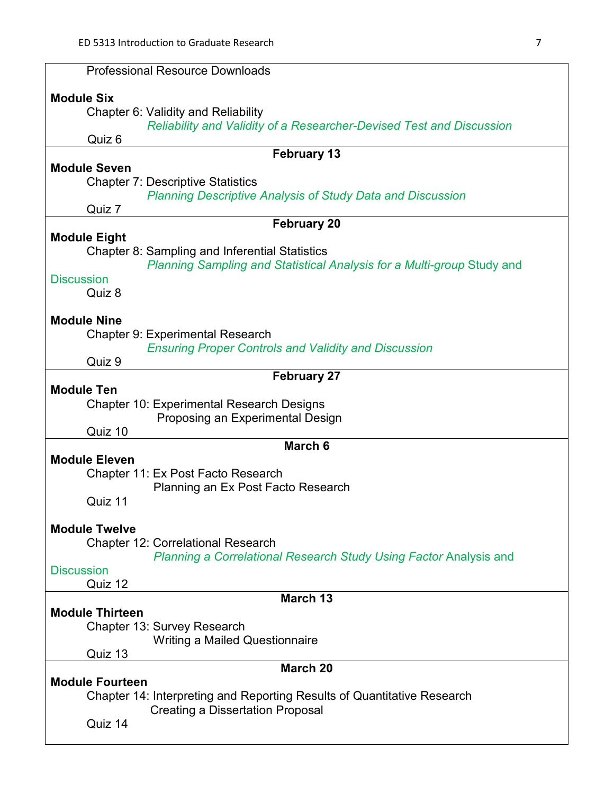| <b>Professional Resource Downloads</b>                                      |  |  |  |  |
|-----------------------------------------------------------------------------|--|--|--|--|
| <b>Module Six</b>                                                           |  |  |  |  |
| Chapter 6: Validity and Reliability                                         |  |  |  |  |
| <b>Reliability and Validity of a Researcher-Devised Test and Discussion</b> |  |  |  |  |
| Quiz 6                                                                      |  |  |  |  |
| <b>February 13</b>                                                          |  |  |  |  |
| <b>Module Seven</b>                                                         |  |  |  |  |
| <b>Chapter 7: Descriptive Statistics</b>                                    |  |  |  |  |
| <b>Planning Descriptive Analysis of Study Data and Discussion</b>           |  |  |  |  |
| Quiz 7                                                                      |  |  |  |  |
| <b>February 20</b>                                                          |  |  |  |  |
| <b>Module Eight</b>                                                         |  |  |  |  |
| Chapter 8: Sampling and Inferential Statistics                              |  |  |  |  |
| Planning Sampling and Statistical Analysis for a Multi-group Study and      |  |  |  |  |
| <b>Discussion</b>                                                           |  |  |  |  |
| Quiz 8                                                                      |  |  |  |  |
| <b>Module Nine</b>                                                          |  |  |  |  |
| <b>Chapter 9: Experimental Research</b>                                     |  |  |  |  |
| <b>Ensuring Proper Controls and Validity and Discussion</b>                 |  |  |  |  |
| Quiz 9                                                                      |  |  |  |  |
| <b>February 27</b>                                                          |  |  |  |  |
| <b>Module Ten</b>                                                           |  |  |  |  |
| <b>Chapter 10: Experimental Research Designs</b>                            |  |  |  |  |
| Proposing an Experimental Design                                            |  |  |  |  |
| Quiz 10                                                                     |  |  |  |  |
| March 6                                                                     |  |  |  |  |
| <b>Module Eleven</b>                                                        |  |  |  |  |
| Chapter 11: Ex Post Facto Research                                          |  |  |  |  |
| Planning an Ex Post Facto Research                                          |  |  |  |  |
| Quiz 11                                                                     |  |  |  |  |
| <b>Module Twelve</b>                                                        |  |  |  |  |
| <b>Chapter 12: Correlational Research</b>                                   |  |  |  |  |
| Planning a Correlational Research Study Using Factor Analysis and           |  |  |  |  |
| <b>Discussion</b>                                                           |  |  |  |  |
| Quiz 12                                                                     |  |  |  |  |
| March 13                                                                    |  |  |  |  |
| <b>Module Thirteen</b>                                                      |  |  |  |  |
| Chapter 13: Survey Research                                                 |  |  |  |  |
| <b>Writing a Mailed Questionnaire</b>                                       |  |  |  |  |
| Quiz 13                                                                     |  |  |  |  |
| March 20                                                                    |  |  |  |  |
| <b>Module Fourteen</b>                                                      |  |  |  |  |
| Chapter 14: Interpreting and Reporting Results of Quantitative Research     |  |  |  |  |
| <b>Creating a Dissertation Proposal</b><br>Quiz 14                          |  |  |  |  |
|                                                                             |  |  |  |  |
|                                                                             |  |  |  |  |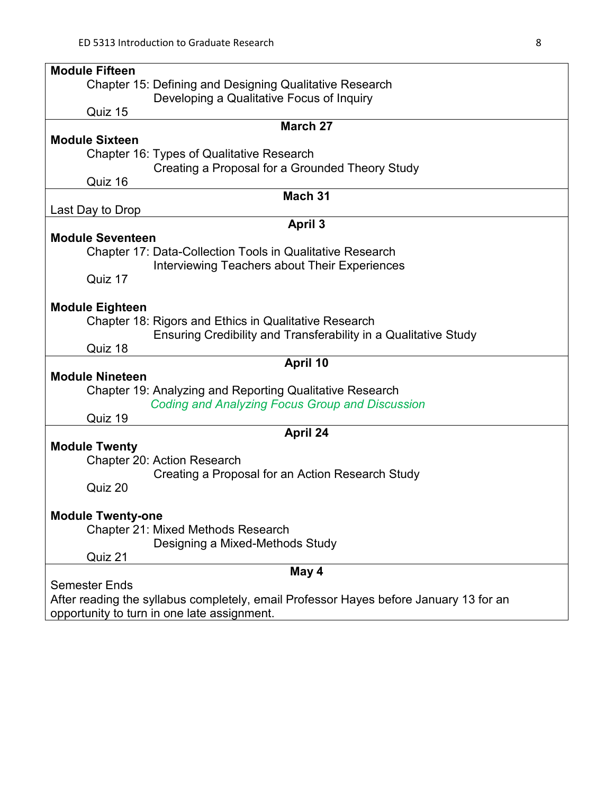| <b>Module Fifteen</b>                                                                 |  |  |  |  |
|---------------------------------------------------------------------------------------|--|--|--|--|
| <b>Chapter 15: Defining and Designing Qualitative Research</b>                        |  |  |  |  |
| Developing a Qualitative Focus of Inquiry                                             |  |  |  |  |
| Quiz 15                                                                               |  |  |  |  |
| <b>March 27</b>                                                                       |  |  |  |  |
| <b>Module Sixteen</b>                                                                 |  |  |  |  |
| Chapter 16: Types of Qualitative Research                                             |  |  |  |  |
| Creating a Proposal for a Grounded Theory Study                                       |  |  |  |  |
| Quiz 16                                                                               |  |  |  |  |
| Mach 31                                                                               |  |  |  |  |
| Last Day to Drop                                                                      |  |  |  |  |
| April 3                                                                               |  |  |  |  |
| <b>Module Seventeen</b>                                                               |  |  |  |  |
| <b>Chapter 17: Data-Collection Tools in Qualitative Research</b>                      |  |  |  |  |
| Interviewing Teachers about Their Experiences                                         |  |  |  |  |
| Quiz 17                                                                               |  |  |  |  |
|                                                                                       |  |  |  |  |
| <b>Module Eighteen</b>                                                                |  |  |  |  |
| Chapter 18: Rigors and Ethics in Qualitative Research                                 |  |  |  |  |
| Ensuring Credibility and Transferability in a Qualitative Study                       |  |  |  |  |
| Quiz 18                                                                               |  |  |  |  |
| April 10                                                                              |  |  |  |  |
| <b>Module Nineteen</b>                                                                |  |  |  |  |
| <b>Chapter 19: Analyzing and Reporting Qualitative Research</b>                       |  |  |  |  |
| <b>Coding and Analyzing Focus Group and Discussion</b>                                |  |  |  |  |
| Quiz 19                                                                               |  |  |  |  |
| April 24                                                                              |  |  |  |  |
| <b>Module Twenty</b>                                                                  |  |  |  |  |
| Chapter 20: Action Research                                                           |  |  |  |  |
| Creating a Proposal for an Action Research Study                                      |  |  |  |  |
| Quiz 20                                                                               |  |  |  |  |
|                                                                                       |  |  |  |  |
| <b>Module Twenty-one</b>                                                              |  |  |  |  |
| <b>Chapter 21: Mixed Methods Research</b>                                             |  |  |  |  |
| Designing a Mixed-Methods Study                                                       |  |  |  |  |
| Quiz 21                                                                               |  |  |  |  |
|                                                                                       |  |  |  |  |
| May 4<br><b>Semester Ends</b>                                                         |  |  |  |  |
| After reading the syllabus completely, email Professor Hayes before January 13 for an |  |  |  |  |
| opportunity to turn in one late assignment.                                           |  |  |  |  |
|                                                                                       |  |  |  |  |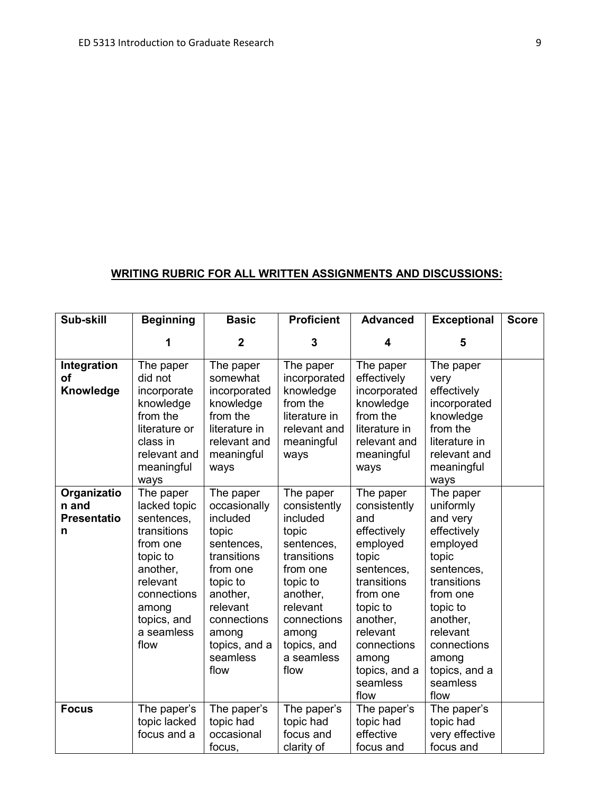# **WRITING RUBRIC FOR ALL WRITTEN ASSIGNMENTS AND DISCUSSIONS:**

| Sub-skill                                       | <b>Beginning</b>                                                                                                                                                    | <b>Basic</b>                                                                                                                                                                             | <b>Proficient</b>                                                                                                                                                                        | <b>Advanced</b>                                                                                                                                                                                                | <b>Exceptional</b>                                                                                                                                                                                               | <b>Score</b> |
|-------------------------------------------------|---------------------------------------------------------------------------------------------------------------------------------------------------------------------|------------------------------------------------------------------------------------------------------------------------------------------------------------------------------------------|------------------------------------------------------------------------------------------------------------------------------------------------------------------------------------------|----------------------------------------------------------------------------------------------------------------------------------------------------------------------------------------------------------------|------------------------------------------------------------------------------------------------------------------------------------------------------------------------------------------------------------------|--------------|
|                                                 | 1                                                                                                                                                                   | $\overline{2}$                                                                                                                                                                           | 3                                                                                                                                                                                        | 4                                                                                                                                                                                                              | 5                                                                                                                                                                                                                |              |
| Integration<br>οf<br>Knowledge                  | The paper<br>did not<br>incorporate<br>knowledge<br>from the<br>literature or<br>class in                                                                           | The paper<br>somewhat<br>incorporated<br>knowledge<br>from the<br>literature in<br>relevant and                                                                                          | The paper<br>incorporated<br>knowledge<br>from the<br>literature in<br>relevant and<br>meaningful                                                                                        | The paper<br>effectively<br>incorporated<br>knowledge<br>from the<br>literature in<br>relevant and                                                                                                             | The paper<br>very<br>effectively<br>incorporated<br>knowledge<br>from the<br>literature in                                                                                                                       |              |
|                                                 | relevant and<br>meaningful<br>ways                                                                                                                                  | meaningful<br>ways                                                                                                                                                                       | ways                                                                                                                                                                                     | meaningful<br>ways                                                                                                                                                                                             | relevant and<br>meaningful<br>ways                                                                                                                                                                               |              |
| Organizatio<br>n and<br><b>Presentatio</b><br>n | The paper<br>lacked topic<br>sentences,<br>transitions<br>from one<br>topic to<br>another,<br>relevant<br>connections<br>among<br>topics, and<br>a seamless<br>flow | The paper<br>occasionally<br>included<br>topic<br>sentences,<br>transitions<br>from one<br>topic to<br>another,<br>relevant<br>connections<br>among<br>topics, and a<br>seamless<br>flow | The paper<br>consistently<br>included<br>topic<br>sentences,<br>transitions<br>from one<br>topic to<br>another,<br>relevant<br>connections<br>among<br>topics, and<br>a seamless<br>flow | The paper<br>consistently<br>and<br>effectively<br>employed<br>topic<br>sentences,<br>transitions<br>from one<br>topic to<br>another,<br>relevant<br>connections<br>among<br>topics, and a<br>seamless<br>flow | The paper<br>uniformly<br>and very<br>effectively<br>employed<br>topic<br>sentences,<br>transitions<br>from one<br>topic to<br>another,<br>relevant<br>connections<br>among<br>topics, and a<br>seamless<br>flow |              |
| <b>Focus</b>                                    | The paper's<br>topic lacked<br>focus and a                                                                                                                          | The paper's<br>topic had<br>occasional<br>focus,                                                                                                                                         | The paper's<br>topic had<br>focus and<br>clarity of                                                                                                                                      | The paper's<br>topic had<br>effective<br>focus and                                                                                                                                                             | The paper's<br>topic had<br>very effective<br>focus and                                                                                                                                                          |              |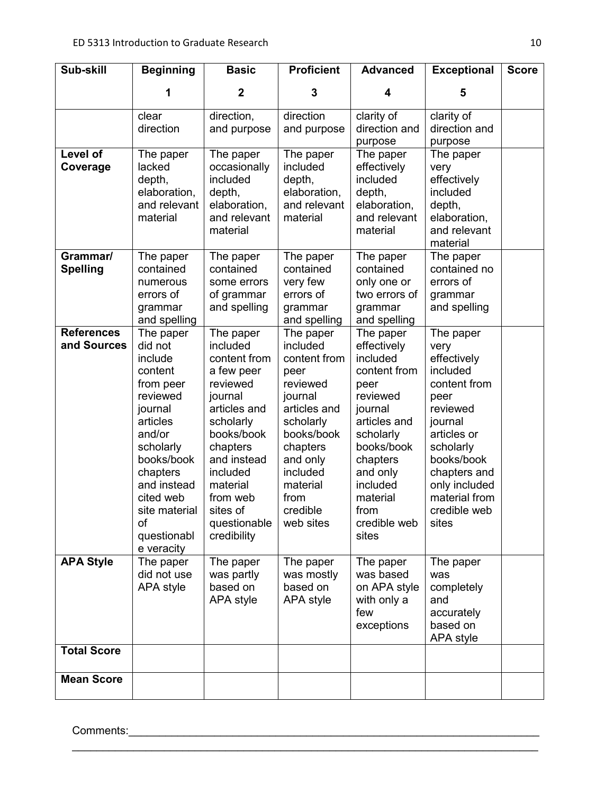| Sub-skill                        | <b>Beginning</b>                                                                                                                                                                                                            | <b>Basic</b>                                                                                                                                                                                                                    | <b>Proficient</b>                                                                                                                                                                                | <b>Advanced</b>                                                                                                                                                                                                 | <b>Exceptional</b>                                                                                                                                                                                               | <b>Score</b> |
|----------------------------------|-----------------------------------------------------------------------------------------------------------------------------------------------------------------------------------------------------------------------------|---------------------------------------------------------------------------------------------------------------------------------------------------------------------------------------------------------------------------------|--------------------------------------------------------------------------------------------------------------------------------------------------------------------------------------------------|-----------------------------------------------------------------------------------------------------------------------------------------------------------------------------------------------------------------|------------------------------------------------------------------------------------------------------------------------------------------------------------------------------------------------------------------|--------------|
|                                  | 1                                                                                                                                                                                                                           | $\mathbf 2$                                                                                                                                                                                                                     | 3                                                                                                                                                                                                | 4                                                                                                                                                                                                               | 5                                                                                                                                                                                                                |              |
|                                  | clear<br>direction                                                                                                                                                                                                          | direction,<br>and purpose                                                                                                                                                                                                       | direction<br>and purpose                                                                                                                                                                         | clarity of<br>direction and<br>purpose                                                                                                                                                                          | clarity of<br>direction and<br>purpose                                                                                                                                                                           |              |
| Level of<br>Coverage             | The paper<br>lacked<br>depth,<br>elaboration,<br>and relevant<br>material                                                                                                                                                   | The paper<br>occasionally<br>included<br>depth,<br>elaboration,<br>and relevant<br>material                                                                                                                                     | The paper<br>included<br>depth,<br>elaboration,<br>and relevant<br>material                                                                                                                      | The paper<br>effectively<br>included<br>depth,<br>elaboration,<br>and relevant<br>material                                                                                                                      | The paper<br>very<br>effectively<br>included<br>depth,<br>elaboration,<br>and relevant<br>material                                                                                                               |              |
| Grammar/<br><b>Spelling</b>      | The paper<br>contained<br>numerous<br>errors of<br>grammar<br>and spelling                                                                                                                                                  | The paper<br>contained<br>some errors<br>of grammar<br>and spelling                                                                                                                                                             | The paper<br>contained<br>very few<br>errors of<br>grammar<br>and spelling                                                                                                                       | The paper<br>contained<br>only one or<br>two errors of<br>grammar<br>and spelling                                                                                                                               | The paper<br>contained no<br>errors of<br>grammar<br>and spelling                                                                                                                                                |              |
| <b>References</b><br>and Sources | The paper<br>did not<br>include<br>content<br>from peer<br>reviewed<br>journal<br>articles<br>and/or<br>scholarly<br>books/book<br>chapters<br>and instead<br>cited web<br>site material<br>of<br>questionabl<br>e veracity | The paper<br>included<br>content from<br>a few peer<br>reviewed<br>journal<br>articles and<br>scholarly<br>books/book<br>chapters<br>and instead<br>included<br>material<br>from web<br>sites of<br>questionable<br>credibility | The paper<br>included<br>content from<br>peer<br>reviewed<br>journal<br>articles and<br>scholarly<br>books/book<br>chapters<br>and only<br>included<br>material<br>from<br>credible<br>web sites | The paper<br>effectively<br>included<br>content from<br>peer<br>reviewed<br>journal<br>articles and<br>scholarly<br>books/book<br>chapters<br>and only<br>included<br>material<br>from<br>credible web<br>sites | The paper<br>very<br>effectively<br>included<br>content from<br>peer<br>reviewed<br>journal<br>articles or<br>scholarly<br>books/book<br>chapters and<br>only included<br>material from<br>credible web<br>sites |              |
| <b>APA Style</b>                 | The paper<br>did not use<br>APA style                                                                                                                                                                                       | The paper<br>was partly<br>based on<br>APA style                                                                                                                                                                                | The paper<br>was mostly<br>based on<br>APA style                                                                                                                                                 | The paper<br>was based<br>on APA style<br>with only a<br>few<br>exceptions                                                                                                                                      | The paper<br>was<br>completely<br>and<br>accurately<br>based on<br>APA style                                                                                                                                     |              |
| <b>Total Score</b>               |                                                                                                                                                                                                                             |                                                                                                                                                                                                                                 |                                                                                                                                                                                                  |                                                                                                                                                                                                                 |                                                                                                                                                                                                                  |              |
| <b>Mean Score</b>                |                                                                                                                                                                                                                             |                                                                                                                                                                                                                                 |                                                                                                                                                                                                  |                                                                                                                                                                                                                 |                                                                                                                                                                                                                  |              |

 $\mathcal{L}_\text{max}$  , and the contribution of the contribution of the contribution of the contribution of the contribution of the contribution of the contribution of the contribution of the contribution of the contribution of t

Comments:\_\_\_\_\_\_\_\_\_\_\_\_\_\_\_\_\_\_\_\_\_\_\_\_\_\_\_\_\_\_\_\_\_\_\_\_\_\_\_\_\_\_\_\_\_\_\_\_\_\_\_\_\_\_\_\_\_\_\_\_\_\_\_\_\_\_\_